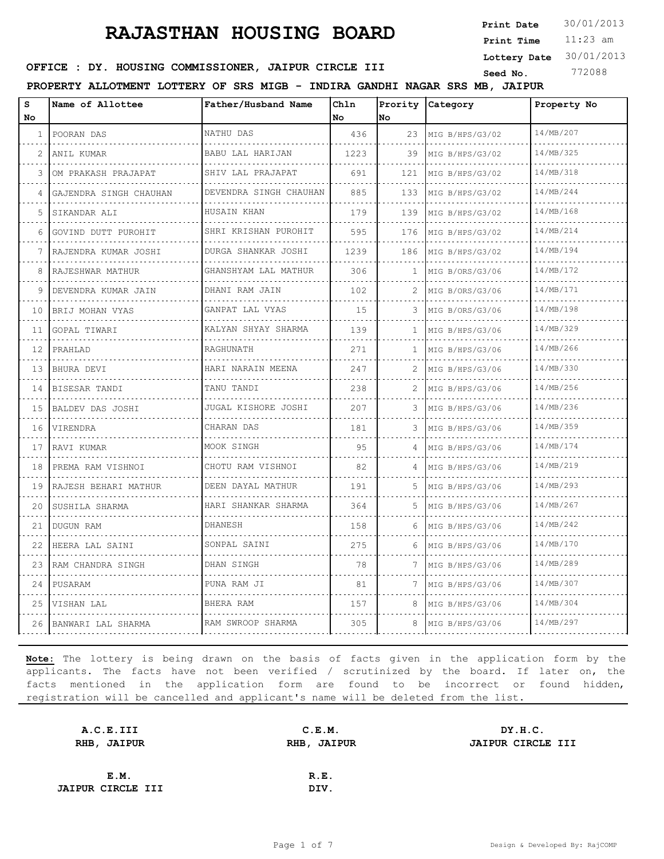11:23 am **Print Time Print Date**  $30/01/2013$ 

**Lottery Date** 30/01/2013

#### **OFFICE : DY. HOUSING COMMISSIONER, JAIPUR CIRCLE III** Seed No. 772088

**PROPERTY ALLOTMENT LOTTERY OF SRS MIGB - INDIRA GANDHI NAGAR SRS MB, JAIPUR**

| S<br>No.          | Name of Allottee              | Father/Husband Name       | Chln<br>No | Prority<br>No | Category             | Property No |
|-------------------|-------------------------------|---------------------------|------------|---------------|----------------------|-------------|
| 1                 | POORAN DAS                    | NATHU DAS                 | 436        | 23            | MIG B/HPS/G3/02<br>. | 14/MB/207   |
| 2                 | ANIL KUMAR                    | BABU LAL HARIJAN<br>.     | 1223       | 39            | MIG B/HPS/G3/02      | 14/MB/325   |
| 3                 | OM PRAKASH PRAJAPAT           | SHIV LAL PRAJAPAT         | 691        | 121           | MIG B/HPS/G3/02      | 14/MB/318   |
| 4                 | GAJENDRA SINGH CHAUHAN        | DEVENDRA SINGH CHAUHAN    | 885        | 133           | MIG B/HPS/G3/02      | 14/MB/244   |
| 5                 | SIKANDAR ALI                  | HUSAIN KHAN               | 179        | 139           | MIG B/HPS/G3/02      | 14/MB/168   |
| 6                 | GOVIND DUTT PUROHIT           | .<br>SHRI KRISHAN PUROHIT | 595        | 176           | MIG B/HPS/G3/02      | 14/MB/214   |
| 7                 | RAJENDRA KUMAR JOSHI          | DURGA SHANKAR JOSHI<br>.  | 1239       | 186           | MIG B/HPS/G3/02      | 14/MB/194   |
| 8                 | RAJESHWAR MATHUR              | GHANSHYAM LAL MATHUR<br>. | 306        | 1             | MIG B/ORS/G3/06      | 14/MB/172   |
| 9                 | .<br>DEVENDRA KUMAR JAIN      | DHANI RAM JAIN            | 102.       | 2             | MIG B/ORS/G3/06      | 14/MB/171   |
| 10                | BRIJ MOHAN VYAS<br>.          | GANPAT LAL VYAS<br>.      | 15         | 3             | MIG B/ORS/G3/06<br>. | 14/MB/198   |
| 11                | GOPAL TIWARI                  | KALYAN SHYAY SHARMA       | 139        | $\mathbf{1}$  | MIG B/HPS/G3/06      | 14/MB/329   |
| $12 \overline{ }$ | PRAHLAD                       | RAGHUNATH                 | 271        | $\mathbf{1}$  | MIG B/HPS/G3/06      | 14/MB/266   |
| 13                | BHURA DEVI<br>.               | HARI NARAIN MEENA<br>.    | 247        | 2             | MIG B/HPS/G3/06<br>. | 14/MB/330   |
| 14                | BISESAR TANDI                 | TANU TANDI                | 238        | 2             | MIG B/HPS/G3/06      | 14/MB/256   |
| 15                | BALDEV DAS JOSHI              | JUGAL KISHORE JOSHI       | 207        | 3             | MIG B/HPS/G3/06      | 14/MB/236   |
| 16                | VIRENDRA<br>is sisters sister | CHARAN DAS<br>.           | 181        | 3             | MIG B/HPS/G3/06<br>. | 14/MB/359   |
| 17                | RAVI KUMAR                    | MOOK SINGH                | 95         | 4             | MIG B/HPS/G3/06      | 14/MB/174   |
| 18                | PREMA RAM VISHNOI             | CHOTU RAM VISHNOI         | 82         | 4             | MIG B/HPS/G3/06      | 14/MB/219   |
| 19                | RAJESH BEHARI MATHUR          | DEEN DAYAL MATHUR         | 191        | 5             | MIG B/HPS/G3/06<br>. | 14/MB/293   |
| 20                | SUSHILA SHARMA                | .<br>HARI SHANKAR SHARMA  | 364        | 5.            | MIG B/HPS/G3/06      | 14/MB/267   |
| 21                | DUGUN RAM                     | <b>DHANESH</b>            | 158        | 6             | MIG B/HPS/G3/06      | 14/MB/242   |
| 22                | HEERA LAL SAINI               | SONPAL SAINI              | 275        | 6             | MIG B/HPS/G3/06      | 14/MB/170   |
| 23                | RAM CHANDRA SINGH             | DHAN SINGH                | 78         | 7             | .<br>MIG B/HPS/G3/06 | 14/MB/289   |
| 24                | PUSARAM                       | PUNA RAM JI               | 81         | 7             | MIG B/HPS/G3/06      | 14/MB/307   |
| 25                | VISHAN LAL                    | BHERA RAM                 | 157        |               | MIG B/HPS/G3/06      | 14/MB/304   |
| 26                | BANWARI LAL SHARMA            | RAM SWROOP SHARMA         | 305        | 8             | MIG B/HPS/G3/06      | 14/MB/297   |

| A.C.E.III                |      | DY.H.C.               |
|--------------------------|------|-----------------------|
| RHB, JAIPUR              |      | JAIPUR CIRCLE III     |
|                          |      |                       |
|                          | R.E. |                       |
| <b>JAIPUR CIRCLE III</b> | DIV. |                       |
|                          |      | C.E.M.<br>RHB, JAIPUR |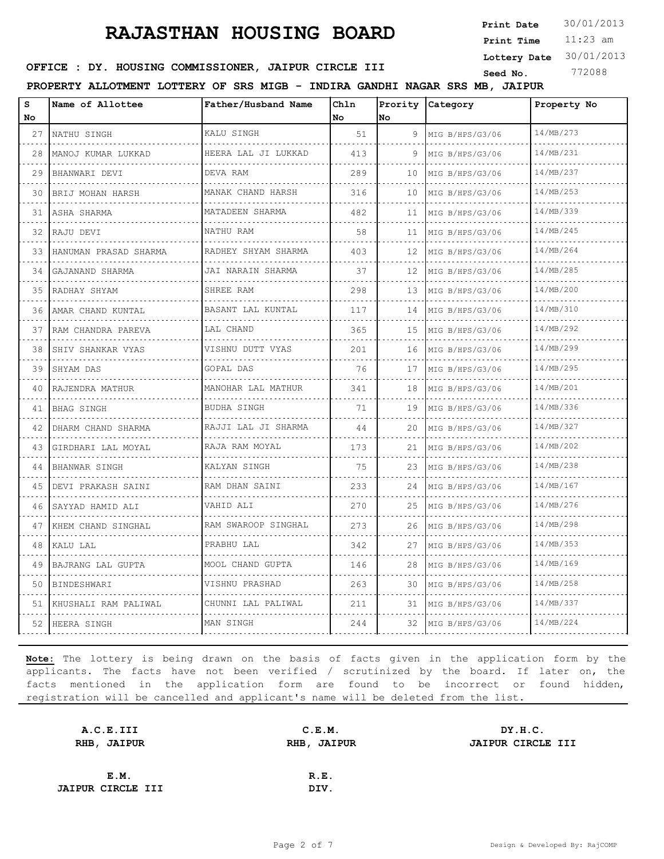11:23 am **Print Time Print Date**  $30/01/2013$ 

**Lottery Date** 30/01/2013

#### **OFFICE : DY. HOUSING COMMISSIONER, JAIPUR CIRCLE III** Seed No. 772088

**PROPERTY ALLOTMENT LOTTERY OF SRS MIGB - INDIRA GANDHI NAGAR SRS MB, JAIPUR**

| s  | Name of Allottee        | Father/Husband Name      | Chln | Prority | Category             | Property No |
|----|-------------------------|--------------------------|------|---------|----------------------|-------------|
| No |                         |                          | No   | No      |                      |             |
| 27 | NATHU SINGH             | KALU SINGH               | 51   | 9       | MIG B/HPS/G3/06      | 14/MB/273   |
| 28 | MANOJ KUMAR LUKKAD      | HEERA LAL JI LUKKAD      | 413  | 9       | MIG B/HPS/G3/06      | 14/MB/231   |
| 29 | BHANWARI DEVI           | DEVA RAM                 | 289  | 10      | MIG B/HPS/G3/06      | 14/MB/237   |
| 30 | BRIJ MOHAN HARSH        | MANAK CHAND HARSH<br>.   | 316  | 10      | MIG B/HPS/G3/06      | 14/MB/253   |
| 31 | ASHA SHARMA             | MATADEEN SHARMA          | 482  | 11      | MIG B/HPS/G3/06      | 14/MB/339   |
| 32 | RAJU DEVI               | NATHU RAM                | 58   | 11      | MIG B/HPS/G3/06      | 14/MB/245   |
| 33 | HANUMAN PRASAD SHARMA   | RADHEY SHYAM SHARMA<br>. | 403  | 12      | MIG B/HPS/G3/06      | 14/MB/264   |
| 34 | GAJANAND SHARMA<br>.    | JAI NARAIN SHARMA<br>.   | 37   | 12      | MIG B/HPS/G3/06<br>. | 14/MB/285   |
| 35 | RADHAY SHYAM            | SHREE RAM                | 298  | 13      | MIG B/HPS/G3/06      | 14/MB/200   |
| 36 | AMAR CHAND KUNTAL       | BASANT LAL KUNTAL        | 117  | 14      | MIG B/HPS/G3/06<br>. | 14/MB/310   |
| 37 | RAM CHANDRA PAREVA<br>. | LAL CHAND                | 365  | 15      | MIG B/HPS/G3/06<br>. | 14/MB/292   |
| 38 | SHIV SHANKAR VYAS       | VISHNU DUTT VYAS         | 201  | 16      | MIG B/HPS/G3/06      | 14/MB/299   |
| 39 | SHYAM DAS<br>.          | GOPAL DAS                | 76   | 17      | MIG B/HPS/G3/06<br>. | 14/MB/295   |
| 40 | RAJENDRA MATHUR         | MANOHAR LAL MATHUR<br>.  | 341  | 18      | MIG B/HPS/G3/06      | 14/MB/201   |
| 41 | BHAG SINGH              | BUDHA SINGH              | 71   | 19      | MIG B/HPS/G3/06      | 14/MB/336   |
| 42 | DHARM CHAND SHARMA      | RAJJI LAL JI SHARMA      | 44   | 20      | MIG B/HPS/G3/06      | 14/MB/327   |
| 43 | GIRDHARI LAL MOYAL      | RAJA RAM MOYAL           | 173  | 21      | MIG B/HPS/G3/06      | 14/MB/202   |
| 44 | BHANWAR SINGH           | KALYAN SINGH             | 75   | 23      | MIG B/HPS/G3/06      | 14/MB/238   |
| 45 | DEVI PRAKASH SAINI      | RAM DHAN SAINI<br>.      | 233  | 24      | MIG B/HPS/G3/06      | 14/MB/167   |
| 46 | SAYYAD HAMID ALI<br>.   | VAHID ALI                | 270  | 25      | MIG B/HPS/G3/06      | 14/MB/276   |
| 47 | KHEM CHAND SINGHAL      | RAM SWAROOP SINGHAL      | 273  | 26      | MIG B/HPS/G3/06      | 14/MB/298   |
| 48 | KALU LAL                | PRABHU LAL               | 342  | 27      | MIG B/HPS/G3/06<br>. | 14/MB/353   |
| 49 | BAJRANG LAL GUPTA       | MOOL CHAND GUPTA         | 146  | 28      | MIG B/HPS/G3/06      | 14/MB/169   |
| 50 | BINDESHWARI             | VISHNU PRASHAD           | 263  | 30      | MIG B/HPS/G3/06      | 14/MB/258   |
| 51 | KHUSHALI RAM PALIWAL    | CHUNNI LAL PALIWAL       | 211  | 31      | MIG B/HPS/G3/06      | 14/MB/337   |
| 52 | HEERA SINGH             | MAN SINGH                | 244  | 32      | MIG B/HPS/G3/06      | 14/MB/224   |

| A.C.E.III                |      | DY.H.C.               |
|--------------------------|------|-----------------------|
| RHB, JAIPUR              |      | JAIPUR CIRCLE III     |
|                          |      |                       |
|                          | R.E. |                       |
| <b>JAIPUR CIRCLE III</b> | DIV. |                       |
|                          |      | C.E.M.<br>RHB, JAIPUR |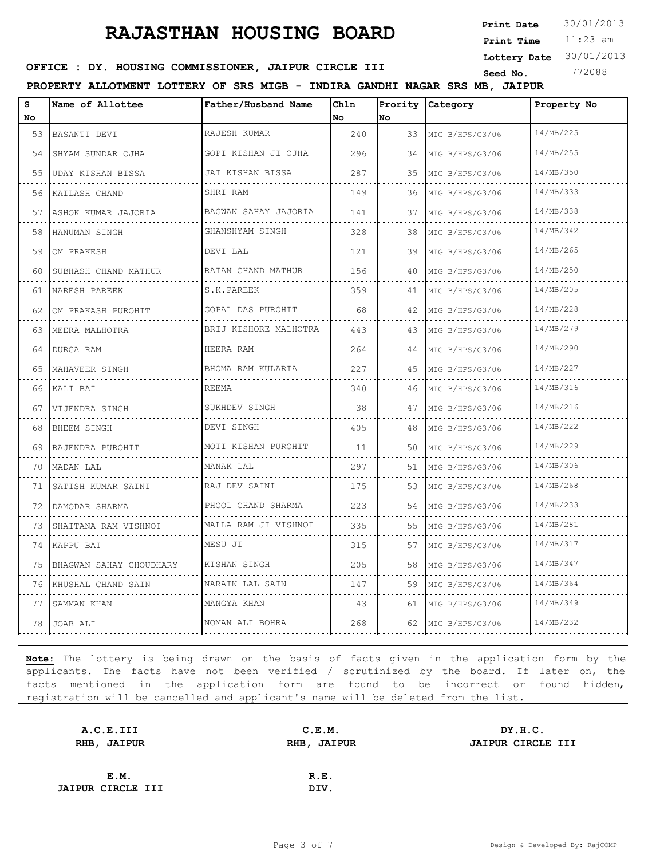11:23 am **Print Time Print Date**  $30/01/2013$ 

**Lottery Date** 30/01/2013

#### **OFFICE : DY. HOUSING COMMISSIONER, JAIPUR CIRCLE III** Seed No. 772088

**PROPERTY ALLOTMENT LOTTERY OF SRS MIGB - INDIRA GANDHI NAGAR SRS MB, JAIPUR**

| S<br>No. | Name of Allottee          | Father/Husband Name     | Chln<br>No | Prority<br>No | Category             | Property No |
|----------|---------------------------|-------------------------|------------|---------------|----------------------|-------------|
| 53       | BASANTI DEVI              | RAJESH KUMAR            | 240        | 33            | MIG B/HPS/G3/06      | 14/MB/225   |
| 54       | .<br>SHYAM SUNDAR OJHA    | GOPI KISHAN JI OJHA     | 296        | 34            | MIG B/HPS/G3/06      | 14/MB/255   |
| 55       | UDAY KISHAN BISSA         | JAI KISHAN BISSA        | 287        | 35            | MIG B/HPS/G3/06      | 14/MB/350   |
| 56       | .<br>KAILASH CHAND        | SHRI RAM                | 149        | 36            | MIG B/HPS/G3/06      | 14/MB/333   |
| 57       | ASHOK KUMAR JAJORIA       | BAGWAN SAHAY JAJORIA    | 141        | 37            | MIG B/HPS/G3/06      | 14/MB/338   |
| 58       | HANUMAN SINGH             | GHANSHYAM SINGH         | 328        | 38            | MIG B/HPS/G3/06      | 14/MB/342   |
| 59       | OM PRAKESH                | DEVI LAL                | 121        | 39            | MIG B/HPS/G3/06      | 14/MB/265   |
| 60       | SUBHASH CHAND MATHUR      | RATAN CHAND MATHUR      | 156        | 40            | MIG B/HPS/G3/06      | 14/MB/250   |
| 61       | NARESH PAREEK             | S.K.PAREEK              | 359        | 41            | MIG B/HPS/G3/06      | 14/MB/205   |
| 62       | OM PRAKASH PUROHIT        | GOPAL DAS PUROHIT       | 68         | 42            | MIG B/HPS/G3/06      | 14/MB/228   |
| 63       | MEERA MALHOTRA            | BRIJ KISHORE MALHOTRA   | 443        | 43            | MIG B/HPS/G3/06      | 14/MB/279   |
| 64       | .<br>DURGA RAM            | HEERA RAM               | 264        | 44            | MIG B/HPS/G3/06      | 14/MB/290   |
| 65       | MAHAVEER SINGH            | BHOMA RAM KULARIA       | 227        | 45            | MIG B/HPS/G3/06      | 14/MB/227   |
| 66       | KALI BAI                  | .<br><b>REEMA</b>       | 340        | 46            | MIG B/HPS/G3/06      | 14/MB/316   |
| 67       | VIJENDRA SINGH            | SUKHDEV SINGH           | 38         | 47            | MIG B/HPS/G3/06      | 14/MB/216   |
| 68       | BHEEM SINGH               | DEVI SINGH              | 405        | 48            | MIG B/HPS/G3/06      | 14/MB/222   |
| 69       | RAJENDRA PUROHIT          | MOTI KISHAN PUROHIT     | 11         | 50            | MIG B/HPS/G3/06      | 14/MB/229   |
| 70       | MADAN LAL                 | MANAK LAL               | 297        | 51            | MIG B/HPS/G3/06      | 14/MB/306   |
| 71       | SATISH KUMAR SAINI        | RAJ DEV SAINI           | 175        | 53            | MIG B/HPS/G3/06      | 14/MB/268   |
| 72       | DAMODAR SHARMA            | .<br>PHOOL CHAND SHARMA | 223        | 54            | MIG B/HPS/G3/06      | 14/MB/233   |
| 73       | .<br>SHAITANA RAM VISHNOI | MALLA RAM JI VISHNOI    | 335        | 55            | .<br>MIG B/HPS/G3/06 | 14/MB/281   |
| 74       | KAPPU BAI                 | MESU JI                 | 315        | 57            | MIG B/HPS/G3/06      | 14/MB/317   |
| 75       | BHAGWAN SAHAY CHOUDHARY   | KISHAN SINGH            | 205        | 58            | MIG B/HPS/G3/06      | 14/MB/347   |
| 76       | KHUSHAL CHAND SAIN        | NARAIN LAL SAIN         | 147        | 59            | MIG B/HPS/G3/06      | 14/MB/364   |
| 77       | SAMMAN KHAN               | MANGYA KHAN             | 43         | 61            | MIG B/HPS/G3/06      | 14/MB/349   |
| 78       | JOAB ALI                  | NOMAN ALI BOHRA         | 268        | 62            | MIG B/HPS/G3/06      | 14/MB/232   |

| A.C.E.III                | C.E.M.      | DY.H.C.           |
|--------------------------|-------------|-------------------|
| RHB, JAIPUR              | RHB, JAIPUR | JAIPUR CIRCLE III |
|                          |             |                   |
| E.M.                     | R.E.        |                   |
| <b>JAIPUR CIRCLE III</b> | DIV.        |                   |
|                          |             |                   |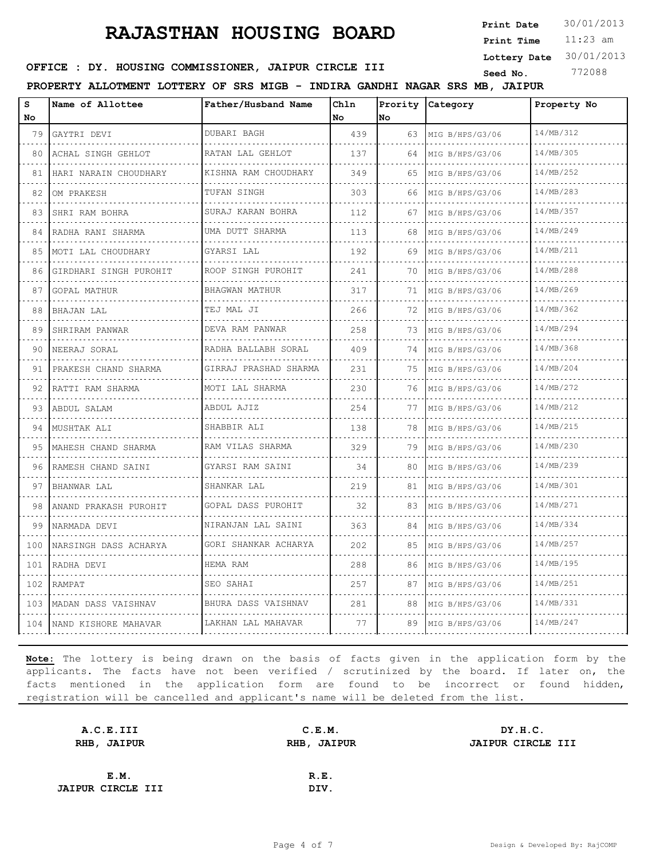11:23 am **Print Time Print Date**  $30/01/2013$ 

**Lottery Date** 30/01/2013

#### **OFFICE : DY. HOUSING COMMISSIONER, JAIPUR CIRCLE III** Seed No. 772088

**PROPERTY ALLOTMENT LOTTERY OF SRS MIGB - INDIRA GANDHI NAGAR SRS MB, JAIPUR**

| s<br>No                                                                                                         | Name of Allottee                  | Father/Husband Name        | Chln<br>No | Prority<br>No | <b>Category</b>      | Property No |
|-----------------------------------------------------------------------------------------------------------------|-----------------------------------|----------------------------|------------|---------------|----------------------|-------------|
| 79                                                                                                              | GAYTRI DEVI                       | DUBARI BAGH                | 439        | 63            | MIG B/HPS/G3/06      | 14/MB/312   |
| .<br>80                                                                                                         | .<br>ACHAL SINGH GEHLOT           | .<br>RATAN LAL GEHLOT      | 137        | 64            | .<br>MIG B/HPS/G3/06 | 14/MB/305   |
| 81                                                                                                              | HARI NARAIN CHOUDHARY             | .<br>KISHNA RAM CHOUDHARY  | 349        | 65            | .<br>MIG B/HPS/G3/06 | 14/MB/252   |
| 82                                                                                                              | OM PRAKESH                        | TUFAN SINGH                | 303        | 66            | MIG B/HPS/G3/06      | 14/MB/283   |
| 83                                                                                                              | .<br>SHRI RAM BOHRA               | .<br>SURAJ KARAN BOHRA     | 112        | 67            | MIG B/HPS/G3/06      | 14/MB/357   |
| 84                                                                                                              | .<br>RADHA RANI SHARMA<br>.       | .<br>UMA DUTT SHARMA<br>.  | 113        | 68            | .<br>MIG B/HPS/G3/06 | 14/MB/249   |
| 85                                                                                                              | MOTI LAL CHOUDHARY                | GYARSI LAL                 | 192        | 69            | MIG B/HPS/G3/06      | 14/MB/211   |
| 86                                                                                                              | GIRDHARI SINGH PUROHIT            | ROOP SINGH PUROHIT<br>.    | 241        | 70            | MIG B/HPS/G3/06<br>. | 14/MB/288   |
| 87                                                                                                              | GOPAL MATHUR                      | BHAGWAN MATHUR             | 317        | 71            | MIG B/HPS/G3/06      | 14/MB/269   |
| 88                                                                                                              | BHAJAN LAL<br>.                   | TEJ MAL JI<br>.            | 266        | 72            | MIG B/HPS/G3/06      | 14/MB/362   |
| 89                                                                                                              | SHRIRAM PANWAR<br>.               | DEVA RAM PANWAR<br>.       | 258        | 73            | MIG B/HPS/G3/06<br>. | 14/MB/294   |
| 90                                                                                                              | NEERAJ SORAL                      | RADHA BALLABH SORAL        | 409        | 74            | MIG B/HPS/G3/06      | 14/MB/368   |
| 91                                                                                                              | PRAKESH CHAND SHARMA              | GIRRAJ PRASHAD SHARMA<br>. | 231        | 75            | MIG B/HPS/G3/06      | 14/MB/204   |
| 92                                                                                                              | RATTI RAM SHARMA<br>.             | MOTI LAL SHARMA<br>.       | 230        | 76            | MIG B/HPS/G3/06      | 14/MB/272   |
| 93                                                                                                              | ABDUL SALAM                       | ABDUL AJIZ                 | 254        | 77            | .<br>MIG B/HPS/G3/06 | 14/MB/212   |
| 94                                                                                                              | MUSHTAK ALI                       | SHABBIR ALI<br>.           | 138        | 78            | MIG B/HPS/G3/06      | 14/MB/215   |
| 95                                                                                                              | MAHESH CHAND SHARMA               | RAM VILAS SHARMA<br>.      | 329        | 79            | MIG B/HPS/G3/06<br>. | 14/MB/230   |
| 96                                                                                                              | RAMESH CHAND SAINI                | GYARSI RAM SAINI           | 34         | 80            | MIG B/HPS/G3/06      | 14/MB/239   |
| 97                                                                                                              | BHANWAR LAL<br>.                  | SHANKAR LAL<br>.           | 219        | 81            | MIG B/HPS/G3/06<br>. | 14/MB/301   |
| 98                                                                                                              | ANAND PRAKASH PUROHIT<br><u>.</u> | GOPAL DASS PUROHIT<br>.    | 32         | 83            | MIG B/HPS/G3/06<br>. | 14/MB/271   |
| 99                                                                                                              | NARMADA DEVI                      | NIRANJAN LAL SAINI         | 363        | 84            | MIG B/HPS/G3/06      | 14/MB/334   |
| 100<br>$\mathcal{L}^{\mathcal{A}}\left( \mathcal{A}\right) =\mathcal{L}^{\mathcal{A}}\left( \mathcal{A}\right)$ | NARSINGH DASS ACHARYA             | GORI SHANKAR ACHARYA       | 202        | 85            | MIG B/HPS/G3/06      | 14/MB/257   |
| 101                                                                                                             | RADHA DEVI                        | HEMA RAM                   | 288        | 86            | MIG B/HPS/G3/06<br>. | 14/MB/195   |
| 102                                                                                                             | RAMPAT                            | SEO SAHAI                  | 257        | 87            | MIG B/HPS/G3/06      | 14/MB/251   |
| 103                                                                                                             | MADAN DASS VAISHNAV               | BHURA DASS VAISHNAV<br>.   | 281        | 88            | MIG B/HPS/G3/06      | 14/MB/331   |
|                                                                                                                 | 104 NAND KISHORE MAHAVAR          | LAKHAN LAL MAHAVAR         | 77         | 89            | MIG B/HPS/G3/06      | 14/MB/247   |

| A.C.E.III                |      | DY.H.C.               |
|--------------------------|------|-----------------------|
| RHB, JAIPUR              |      | JAIPUR CIRCLE III     |
|                          |      |                       |
|                          | R.E. |                       |
| <b>JAIPUR CIRCLE III</b> | DIV. |                       |
|                          |      | C.E.M.<br>RHB, JAIPUR |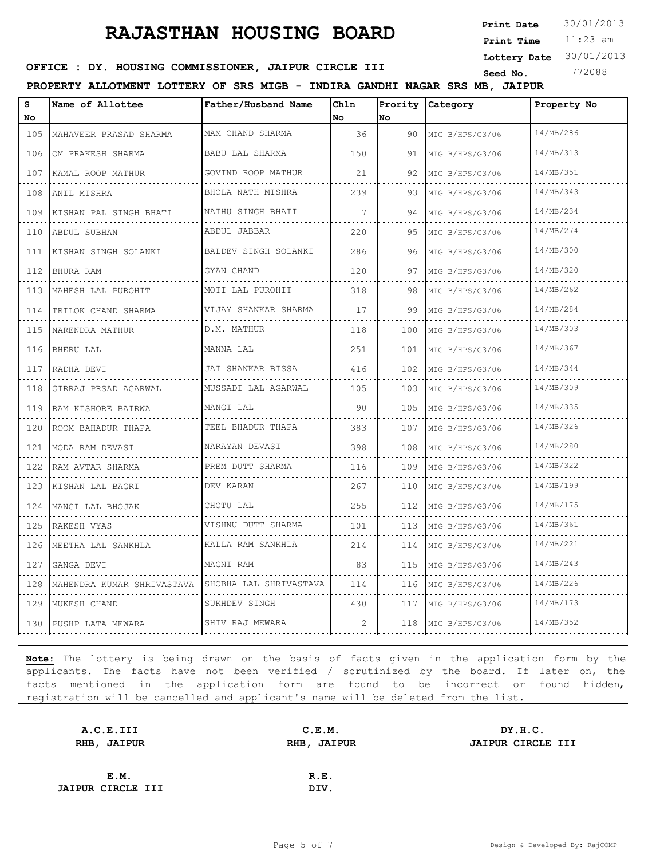11:23 am **Print Time Print Date**  $30/01/2013$ 

**Lottery Date** 30/01/2013

#### **OFFICE : DY. HOUSING COMMISSIONER, JAIPUR CIRCLE III** Seed No. 772088

**PROPERTY ALLOTMENT LOTTERY OF SRS MIGB - INDIRA GANDHI NAGAR SRS MB, JAIPUR**

| s<br>No                                                                                                                          | Name of Allottee           | Father/Husband Name      | Chln<br>No | Prority<br>No | Category             | Property No |
|----------------------------------------------------------------------------------------------------------------------------------|----------------------------|--------------------------|------------|---------------|----------------------|-------------|
| 105                                                                                                                              | MAHAVEER PRASAD SHARMA     | MAM CHAND SHARMA         | 36         | 90            | MIG B/HPS/G3/06      | 14/MB/286   |
| .<br>106                                                                                                                         | OM PRAKESH SHARMA          | .<br>BABU LAL SHARMA     | 150        | 91            | MIG B/HPS/G3/06      | 14/MB/313   |
| $\sim$ $\sim$ $\sim$ $\sim$<br>107                                                                                               | KAMAL ROOP MATHUR          | .<br>GOVIND ROOP MATHUR  | 21         | 92            | MIG B/HPS/G3/06      | 14/MB/351   |
| 108                                                                                                                              | ANIL MISHRA                | BHOLA NATH MISHRA        | 239        | 93            | MIG B/HPS/G3/06      | 14/MB/343   |
| .<br>109                                                                                                                         | KISHAN PAL SINGH BHATI     | .<br>NATHU SINGH BHATI   | 7          | 94            | MIG B/HPS/G3/06      | 14/MB/234   |
| 110                                                                                                                              | ABDUL SUBHAN               | .<br>ABDUL JABBAR        | 220        | 95            | MIG B/HPS/G3/06      | 14/MB/274   |
| 111                                                                                                                              | KISHAN SINGH SOLANKI       | BALDEV SINGH SOLANKI     | 286        | 96            | MIG B/HPS/G3/06      | 14/MB/300   |
| الدائد الدائد<br>112                                                                                                             | BHURA RAM                  | GYAN CHAND               | 120        | 97            | MIG B/HPS/G3/06      | 14/MB/320   |
| $\omega$ is a $\omega$<br>113                                                                                                    | MAHESH LAL PUROHIT         | MOTI LAL PUROHIT         | 318        | 98            | MIG B/HPS/G3/06      | 14/MB/262   |
| 114                                                                                                                              | TRILOK CHAND SHARMA        | VIJAY SHANKAR SHARMA     | 17         | 99            | MIG B/HPS/G3/06      | 14/MB/284   |
| .<br>115                                                                                                                         | NARENDRA MATHUR            | .<br>D.M. MATHUR         | 118        | 100           | MIG B/HPS/G3/06      | 14/MB/303   |
| $\frac{1}{2} \left( \frac{1}{2} \right) \left( \frac{1}{2} \right) \left( \frac{1}{2} \right) \left( \frac{1}{2} \right)$<br>116 | .<br> BHERU LAL            | MANNA LAL                | 251        | 101           | .<br>MIG B/HPS/G3/06 | 14/MB/367   |
| 117                                                                                                                              | RADHA DEVI                 | JAI SHANKAR BISSA        | 416        | 102           | MIG B/HPS/G3/06      | 14/MB/344   |
| .<br>118                                                                                                                         | GIRRAJ PRSAD AGARWAL       | .<br>MUSSADI LAL AGARWAL | 105        | 103           | MIG B/HPS/G3/06      | 14/MB/309   |
| $\omega$ , $\omega$ , $\omega$<br>119                                                                                            | RAM KISHORE BAIRWA         | MANGI LAL                | 90         | 105           | .<br>MIG B/HPS/G3/06 | 14/MB/335   |
| 120                                                                                                                              | ROOM BAHADUR THAPA         | TEEL BHADUR THAPA        | 383        | 107           | MIG B/HPS/G3/06      | 14/MB/326   |
| .<br>121                                                                                                                         | .<br>MODA RAM DEVASI       | .<br>NARAYAN DEVASI      | 398        | 108           | MIG B/HPS/G3/06      | 14/MB/280   |
| $\sim$ $\sim$ $\sim$ $\sim$<br>122                                                                                               | .<br>RAM AVTAR SHARMA      | PREM DUTT SHARMA         | 116        | 109           | .<br>MIG B/HPS/G3/06 | 14/MB/322   |
| 123                                                                                                                              | KISHAN LAL BAGRI<br>.      | DEV KARAN                | 267        | 110           | MIG B/HPS/G3/06      | 14/MB/199   |
| $   -$<br>124                                                                                                                    | MANGI LAL BHOJAK           | CHOTU LAL                | 255        | 112           | MIG B/HPS/G3/06      | 14/MB/175   |
| .<br>125                                                                                                                         | .<br>RAKESH VYAS           | VISHNU DUTT SHARMA       | 101        | 113           | .<br>MIG B/HPS/G3/06 | 14/MB/361   |
| 126                                                                                                                              | MEETHA LAL SANKHLA         | KALLA RAM SANKHLA        | 214        | 114           | MIG B/HPS/G3/06      | 14/MB/221   |
| الدالد الدالدا<br>127                                                                                                            | GANGA DEVI                 | MAGNI RAM                | 83         | 115           | MIG B/HPS/G3/06      | 14/MB/243   |
| .<br>128                                                                                                                         | MAHENDRA KUMAR SHRIVASTAVA | SHOBHA LAL SHRIVASTAVA   | 114        | 116           | MIG B/HPS/G3/06      | 14/MB/226   |
| 129                                                                                                                              | MUKESH CHAND               | SUKHDEV SINGH<br>.       | 430        | 117           | MIG B/HPS/G3/06      | 14/MB/173   |
| $\sim$ $\sim$ $\sim$ $\sim$<br>130                                                                                               | PUSHP LATA MEWARA          | SHIV RAJ MEWARA          | 2          | 118           | MIG B/HPS/G3/06      | 14/MB/352   |

| A.C.E.III                | C.E.M.      | DY.H.C.           |
|--------------------------|-------------|-------------------|
| RHB, JAIPUR              | RHB, JAIPUR | JAIPUR CIRCLE III |
|                          |             |                   |
| E.M.                     | R.E.        |                   |
| <b>JAIPUR CIRCLE III</b> | DIV.        |                   |
|                          |             |                   |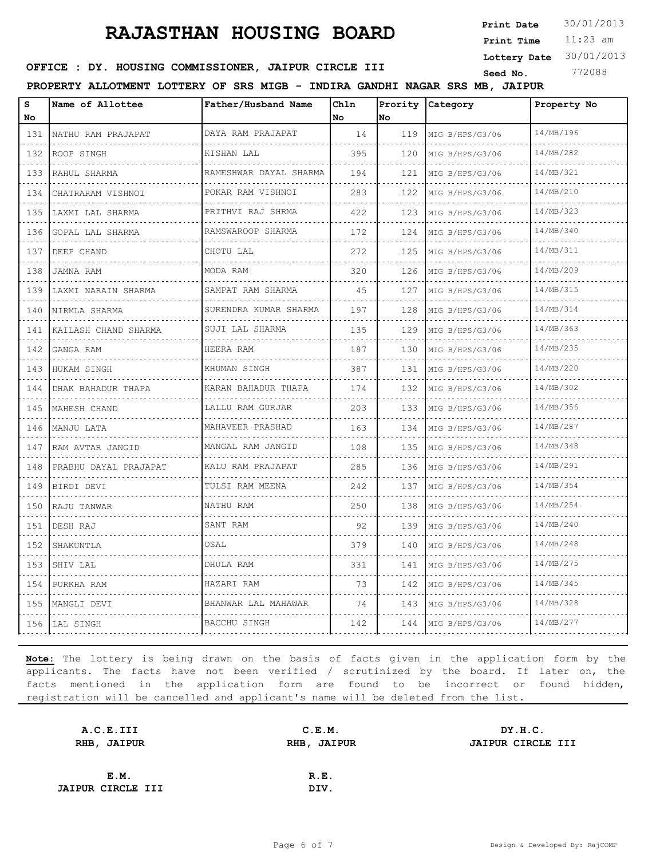11:23 am **Print Time Print Date**  $30/01/2013$ 

**Lottery Date** 30/01/2013

#### **OFFICE : DY. HOUSING COMMISSIONER, JAIPUR CIRCLE III** Seed No. 772088

**PROPERTY ALLOTMENT LOTTERY OF SRS MIGB - INDIRA GANDHI NAGAR SRS MB, JAIPUR**

| S<br>No                                                                                               | Name of Allottee      | Father/Husband Name    | Chln<br>No | Prority<br>lNo. | Category                           | Property No |
|-------------------------------------------------------------------------------------------------------|-----------------------|------------------------|------------|-----------------|------------------------------------|-------------|
| 131                                                                                                   | NATHU RAM PRAJAPAT    | DAYA RAM PRAJAPAT      | 14         | 119             | MIG B/HPS/G3/06                    | 14/MB/196   |
| 132                                                                                                   | ROOP SINGH            | .<br>KISHAN LAL        | 395        | 120             | MIG B/HPS/G3/06                    | 14/MB/282   |
| 133                                                                                                   | RAHUL SHARMA          | RAMESHWAR DAYAL SHARMA | 194        | 121             | MIG B/HPS/G3/06                    | 14/MB/321   |
| .<br>134                                                                                              | CHATRARAM VISHNOI     | POKAR RAM VISHNOI      | 283        | 122             | MIG B/HPS/G3/06                    | 14/MB/210   |
| $\sim$<br>135                                                                                         | LAXMI LAL SHARMA      | .<br>PRITHVI RAJ SHRMA | 422        | 123             | MIG B/HPS/G3/06                    | 14/MB/323   |
| 136                                                                                                   | GOPAL LAL SHARMA      | .<br>RAMSWAROOP SHARMA | 172        | 124             | MIG B/HPS/G3/06                    | 14/MB/340   |
| .<br>137                                                                                              | DEEP CHAND            | CHOTU LAL              | 272        | 125             | MIG B/HPS/G3/06                    | 14/MB/311   |
| .<br>138                                                                                              | JAMNA RAM             | MODA RAM               | 320        | 126             | MIG B/HPS/G3/06                    | 14/MB/209   |
| 139                                                                                                   | LAXMI NARAIN SHARMA   | SAMPAT RAM SHARMA      | 45         | 127             | MIG B/HPS/G3/06                    | 14/MB/315   |
| .<br>140                                                                                              | NIRMLA SHARMA         | SURENDRA KUMAR SHARMA  | 197        | 128             | MIG B/HPS/G3/06                    | 14/MB/314   |
| .<br>141                                                                                              | KAILASH CHAND SHARMA  | SUJI LAL SHARMA        | 135        | 129             | MIG B/HPS/G3/06                    | 14/MB/363   |
| 142                                                                                                   | GANGA RAM             | HEERA RAM              | 187        | 130             | MIG B/HPS/G3/06                    | 14/MB/235   |
| .<br>143                                                                                              | HUKAM SINGH           | KHUMAN SINGH           | 387        | 131             | MIG B/HPS/G3/06                    | 14/MB/220   |
| .<br>144                                                                                              | DHAK BAHADUR THAPA    | KARAN BAHADUR THAPA    | 174        | 132             | MIG B/HPS/G3/06                    | 14/MB/302   |
| 145<br>.                                                                                              | MAHESH CHAND          | LALLU RAM GURJAR       | 203        | 133             | MIG B/HPS/G3/06                    | 14/MB/356   |
| 146                                                                                                   | MANJU LATA            | MAHAVEER PRASHAD       | 163        | 134             | MIG B/HPS/G3/06                    | 14/MB/287   |
| .<br>147                                                                                              | RAM AVTAR JANGID      | MANGAL RAM JANGID      | 108        | 135             | MIG B/HPS/G3/06                    | 14/MB/348   |
| 148                                                                                                   | PRABHU DAYAL PRAJAPAT | KALU RAM PRAJAPAT      | 285        | 136             | MIG B/HPS/G3/06                    | 14/MB/291   |
| 149                                                                                                   | BIRDI DEVI            | TULSI RAM MEENA        | 242        | 137             | MIG B/HPS/G3/06                    | 14/MB/354   |
| .<br>150                                                                                              | RAJU TANWAR           | NATHU RAM              | 250        | 138             | MIG B/HPS/G3/06                    | 14/MB/254   |
| 151                                                                                                   | DESH RAJ              | SANT RAM               | 92         | 139             | MIG B/HPS/G3/06                    | 14/MB/240   |
| .<br>152                                                                                              | SHAKUNTLA             | OSAL                   | 379        | 140             | MIG B/HPS/G3/06<br>dia dia dia dia | 14/MB/248   |
| .<br>153                                                                                              | SHIV LAL              | DHULA RAM              | 331        | 141             | MIG B/HPS/G3/06                    | 14/MB/275   |
| $\frac{1}{2} \left( \frac{1}{2} \right) \left( \frac{1}{2} \right) \left( \frac{1}{2} \right)$<br>154 | PURKHA RAM            | HAZARI RAM             | 73         | 142             | MIG B/HPS/G3/06                    | 14/MB/345   |
| .<br>155<br>.                                                                                         | MANGLI DEVI           | BHANWAR LAL MAHAWAR    | 74         | 143             | MIG B/HPS/G3/06                    | 14/MB/328   |
|                                                                                                       | 156   LAL SINGH       | BACCHU SINGH           | 142        | 144             | MIG B/HPS/G3/06                    | 14/MB/277   |

| A.C.E.III                | C.E.M. | DY.H.C.           |
|--------------------------|--------|-------------------|
| RHB, JAIPUR              |        | JAIPUR CIRCLE III |
|                          |        |                   |
| E.M.                     | R.E.   |                   |
| <b>JAIPUR CIRCLE III</b> | DIV.   |                   |
|                          |        | RHB, JAIPUR       |